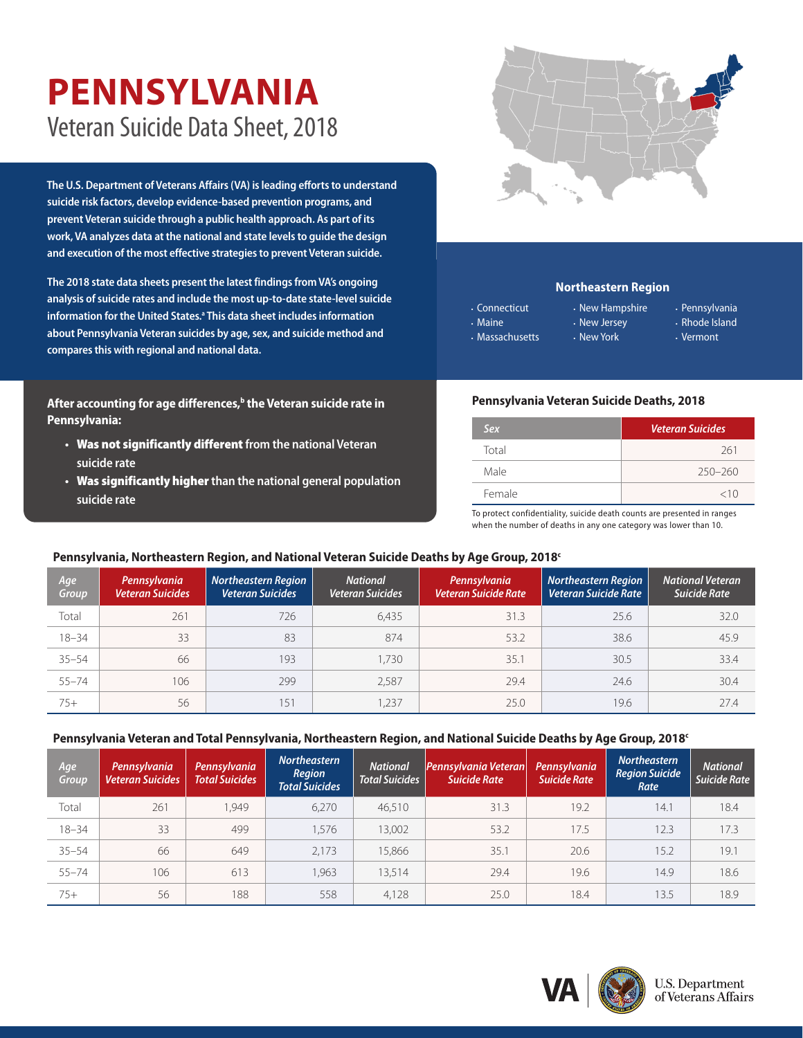# **PENNSYLVANIA** Veteran Suicide Data Sheet, 2018

**The U.S. Department of Veterans Affairs (VA) is leading efforts to understand suicide risk factors, develop evidence-based prevention programs, and prevent Veteran suicide through a public health approach. As part of its work, VA analyzes data at the national and state levels to guide the design and execution of the most effective strategies to prevent Veteran suicide.** 

**The 2018 state data sheets present the latest findings from VA's ongoing analysis of suicide rates and include the most up-to-date state-level suicide information for the United States.[a](#page-1-0) This data sheet includes information about Pennsylvania Veteran suicides by age, sex, and suicide method and compares this with regional and national data.**

After accounting for age differences,<sup>b</sup> the Veteran suicide rate in **Pennsylvania:**

- **•** Was not significantly different **from the national Veteran suicide rate**
- **•** Was significantly higher **than the national general population suicide rate**



## **Northeastern Region**

- Connecticut • Maine
- Massachusetts
- New Hampshire • New Jersey
- Pennsylvania • Rhode Island
- Vermont

## **Pennsylvania Veteran Suicide Deaths, 2018**

• New York

| Sex    | <b>Veteran Suicides</b> |  |  |  |
|--------|-------------------------|--|--|--|
| Total  | 261                     |  |  |  |
| Male   | $250 - 260$             |  |  |  |
| Female | <10                     |  |  |  |

To protect confidentiality, suicide death counts are presented in ranges when the number of deaths in any one category was lower than 10.

## **Pennsylvania, Northeastern Region, and National Veteran Suicide Deaths by Age Group, 201[8c](#page-1-1)**

| Age<br>Group | Pennsylvania<br><b>Veteran Suicides</b> | <b>Northeastern Region</b><br><b>Veteran Suicides</b> | <b>National</b><br><b>Veteran Suicides</b> | Pennsylvania<br><b>Veteran Suicide Rate</b> | <b>Northeastern Region</b><br><b>Veteran Suicide Rate</b> | <b>National Veteran</b><br>Suicide Rate |
|--------------|-----------------------------------------|-------------------------------------------------------|--------------------------------------------|---------------------------------------------|-----------------------------------------------------------|-----------------------------------------|
| Total        | 261                                     | 726                                                   | 6,435                                      | 31.3                                        | 25.6                                                      | 32.0                                    |
| $18 - 34$    | 33                                      | 83                                                    | 874                                        | 53.2                                        | 38.6                                                      | 45.9                                    |
| $35 - 54$    | 66                                      | 193                                                   | 1.730                                      | 35.1                                        | 30.5                                                      | 33.4                                    |
| $55 - 74$    | 106                                     | 299                                                   | 2,587                                      | 29.4                                        | 24.6                                                      | 30.4                                    |
| $75+$        | 56                                      | 151                                                   | 1,237                                      | 25.0                                        | 19.6                                                      | 27.4                                    |

#### **Pennsylvania Veteran and Total Pennsylvania, Northeastern Region, and National Suicide Deaths by Age Group, 2018[c](#page-1-1)**

| Age<br>Group | Pennsylvania<br><b>Veteran Suicides</b> | Pennsylvania<br><b>Total Suicides</b> | Northeastern<br>Region<br><b>Total Suicides</b> | <b>National</b><br><b>Total Suicides</b> | Pennsylvania Veteran<br><b>Suicide Rate</b> | Pennsylvania<br><b>Suicide Rate</b> | <b>Northeastern</b><br><b>Region Suicide</b><br>Rate | <b>National</b><br><b>Suicide Rate</b> |
|--------------|-----------------------------------------|---------------------------------------|-------------------------------------------------|------------------------------------------|---------------------------------------------|-------------------------------------|------------------------------------------------------|----------------------------------------|
| Total        | 261                                     | 1.949                                 | 6,270                                           | 46,510                                   | 31.3                                        | 19.2                                | 14.7                                                 | 18.4                                   |
| $18 - 34$    | 33                                      | 499                                   | 1.576                                           | 13,002                                   | 53.2                                        | 17.5                                | 12.3                                                 | 17.3                                   |
| $35 - 54$    | 66                                      | 649                                   | 2.173                                           | 15,866                                   | 35.1                                        | 20.6                                | 15.2                                                 | 19.1                                   |
| $55 - 74$    | 106                                     | 613                                   | 1,963                                           | 13.514                                   | 29.4                                        | 19.6                                | 14.9                                                 | 18.6                                   |
| $75+$        | 56                                      | 188                                   | 558                                             | 4,128                                    | 25.0                                        | 18.4                                | 13.5                                                 | 18.9                                   |